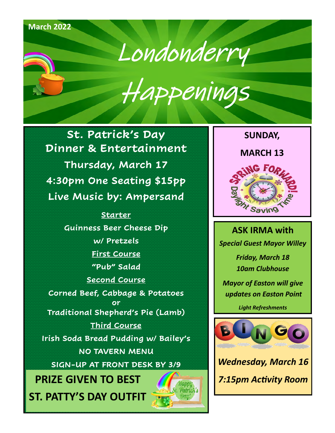# **October 2021 DECEMBER 2021** Londonderry Happenings **March 2022**

**St. Patrick's Day Dinner & Entertainment Thursday, March 17 4:30pm One Seating \$15pp Live Music by: Ampersand**

> **One Seating Starter Guinness Beer Cheese Dip w/ Pretzels First Course "Pub" Salad Second Course**

**Corned Beef, Cabbage & Potatoes or Traditional Shepherd's Pie (Lamb)**

**Third Course Irish Soda Bread Pudding w/ Bailey's NO TAVERN MENU**

**SIGN-UP AT FRONT DESK BY 3/9**

**PRIZE GIVEN TO BEST** *7:15pm Activity Room* **ST. PATTY'S DAY OUTFIT**





**ASK IRMA with** *Special Guest Mayor Willey Friday, March 18 10am Clubhouse Mayor of Easton will give updates on Easton Point*

*Light Refreshments*



*Wednesday, March 16*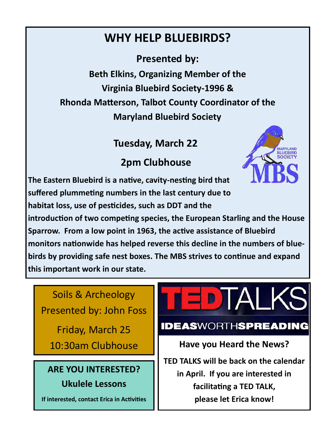# **WHY HELP BLUEBIRDS?**

**Presented by: Beth Elkins, Organizing Member of the Virginia Bluebird Society-1996 & Rhonda Matterson, Talbot County Coordinator of the Maryland Bluebird Society**

## **Tuesday, March 22**

# **2pm Clubhouse**

**The Eastern Bluebird is a native, cavity-nesting bird that suffered plummeting numbers in the last century due to habitat loss, use of pesticides, such as DDT and the** 



**introduction of two competing species, the European Starling and the House Sparrow. From a low point in 1963, the active assistance of Bluebird monitors nationwide has helped reverse this decline in the numbers of bluebirds by providing safe nest boxes. The MBS strives to continue and expand this important work in our state.**

Soils & Archeology Presented by: John Foss

Friday, March 25

## **ARE YOU INTERESTED? Ukulele Lessons**

**If interested, contact Erica in Activities**

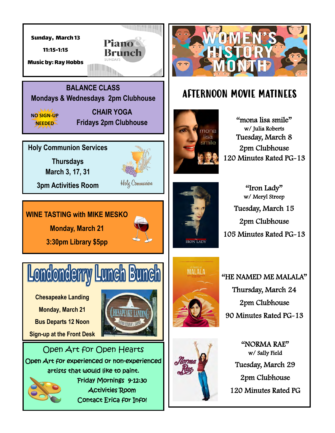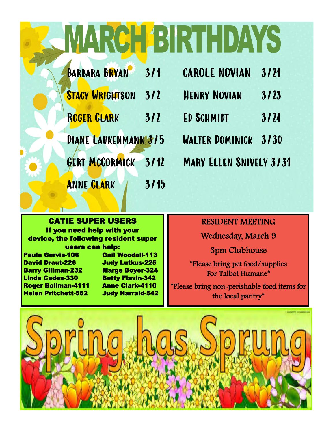# CHABIRTHDAYS

| <b>BARBARA BRYAN</b>   | 311  |
|------------------------|------|
| <b>STACY WRIGHTSON</b> | 312  |
| <b>ROGER CLARK</b>     | 312  |
| DIANE LAUKENMANN 3/5   |      |
| <b>GERT MCCORMICK</b>  | 3112 |
| <b>ANNE CLARK</b>      | 3/15 |

| <b>CAROLE NOVIAN</b>           | 3121 |
|--------------------------------|------|
| <b>HENRY NOVIAN</b>            | 3/23 |
| ED SCHMIDT                     | 3/24 |
| <b>WALTER DOMINICK</b>         | 3/30 |
| <b>MARY ELLEN SNIVELY 3/31</b> |      |

### CATIE SUPER USERS

If you need help with your device, the following resident super users can help: Paula Gervis-106 **Gail Woodall-113** 

David Draut-226 Judy Lutkus-225 Barry Gillman-232 Marge Boyer-324 Linda Cades-330 Betty Flavin-342 Roger Bollman-4111 Anne Clark-4110 Helen Pritchett-562 Judy Harrald-542

### RESIDENT MEETING

Wednesday, March 9

3pm Clubhouse

\*Please bring pet food/supplies For Talbot Humane\*

\*Please bring non-perishable food items for the local pantry\*